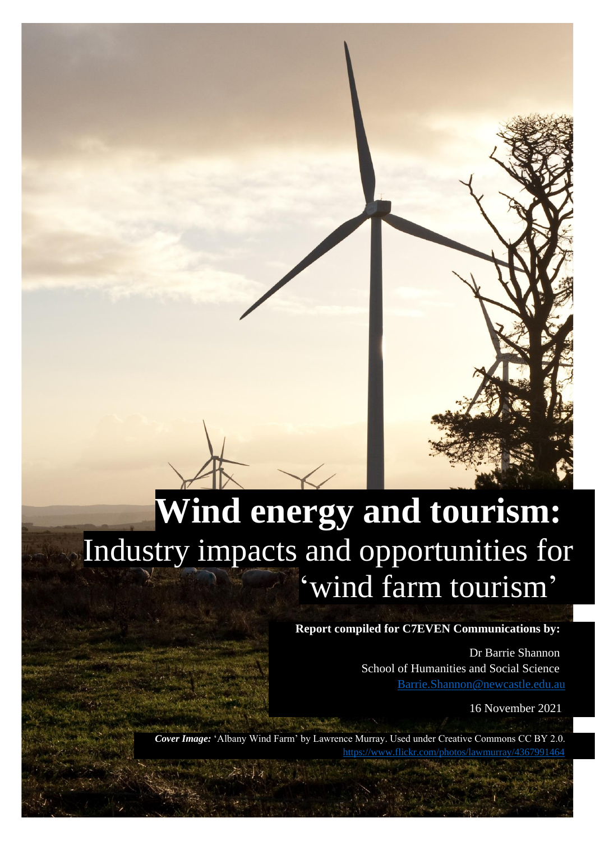# **Wind energy and tourism:**  Industry impacts and opportunities for 'wind farm tourism'

 **Report compiled for C7EVEN Communications by:**

Dr Barrie Shannon School of Humanities and Social Science [Barrie.Shannon@newcastle.edu.au](mailto:Barrie.Shannon@newcastle.edu.au)

16 November 2021

*Cover Image:* 'Albany Wind Farm' by Lawrence Murray. Used under Creative Commons CC BY 2.0. <https://www.flickr.com/photos/lawmurray/4367991464>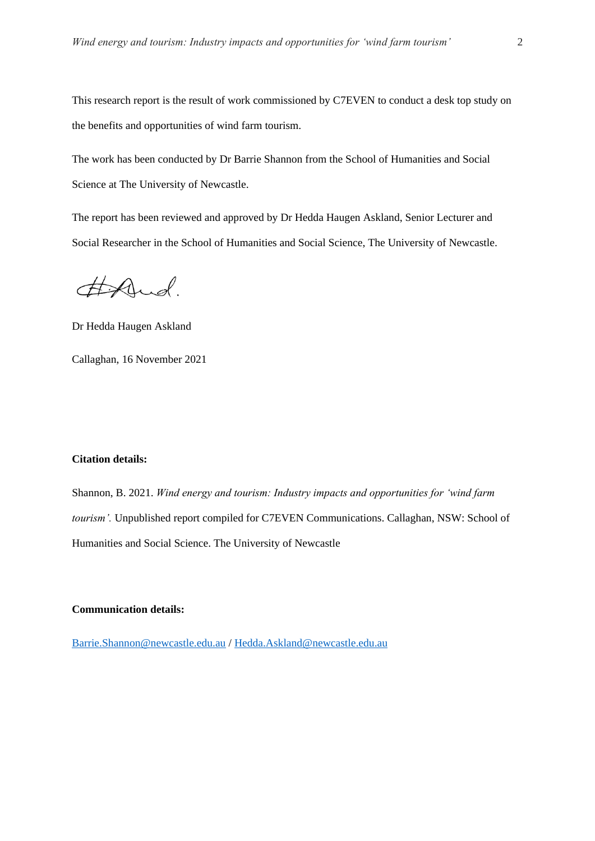This research report is the result of work commissioned by C7EVEN to conduct a desk top study on the benefits and opportunities of wind farm tourism.

The work has been conducted by Dr Barrie Shannon from the School of Humanities and Social Science at The University of Newcastle.

The report has been reviewed and approved by Dr Hedda Haugen Askland, Senior Lecturer and Social Researcher in the School of Humanities and Social Science, The University of Newcastle.

AAnd.

Dr Hedda Haugen Askland Callaghan, 16 November 2021

### **Citation details:**

Shannon, B. 2021. *Wind energy and tourism: Industry impacts and opportunities for 'wind farm tourism'.* Unpublished report compiled for C7EVEN Communications. Callaghan, NSW: School of Humanities and Social Science. The University of Newcastle

# **Communication details:**

[Barrie.Shannon@newcastle.edu.au](mailto:Barrie.Shannon@newcastle.edu.au) / [Hedda.Askland@newcastle.edu.au](mailto:Hedda.Askland@newcastle.edu.au)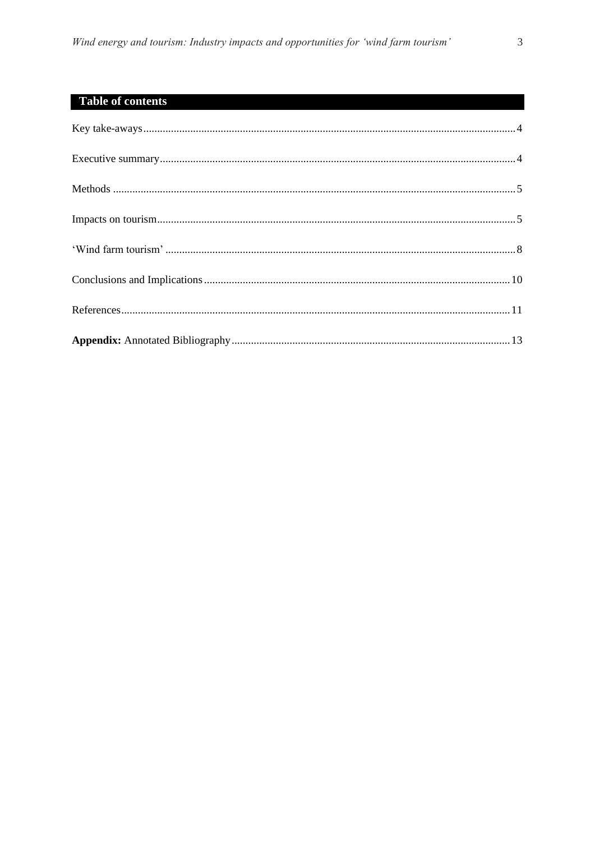# **Table of contents**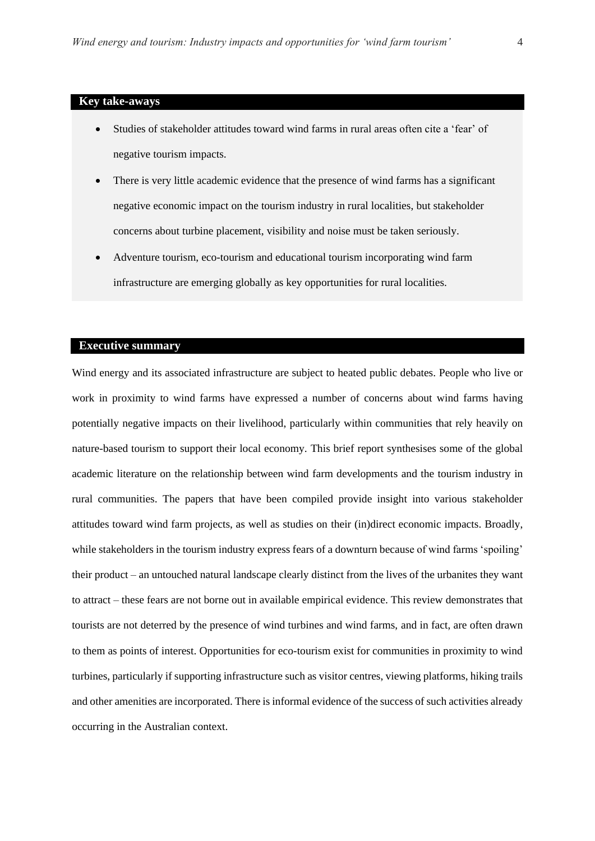#### <span id="page-3-0"></span>**Key take-aways**

- Studies of stakeholder attitudes toward wind farms in rural areas often cite a 'fear' of negative tourism impacts.
- There is very little academic evidence that the presence of wind farms has a significant negative economic impact on the tourism industry in rural localities, but stakeholder concerns about turbine placement, visibility and noise must be taken seriously.
- Adventure tourism, eco-tourism and educational tourism incorporating wind farm infrastructure are emerging globally as key opportunities for rural localities.

#### <span id="page-3-1"></span>**Executive summary**

Wind energy and its associated infrastructure are subject to heated public debates. People who live or work in proximity to wind farms have expressed a number of concerns about wind farms having potentially negative impacts on their livelihood, particularly within communities that rely heavily on nature-based tourism to support their local economy. This brief report synthesises some of the global academic literature on the relationship between wind farm developments and the tourism industry in rural communities. The papers that have been compiled provide insight into various stakeholder attitudes toward wind farm projects, as well as studies on their (in)direct economic impacts. Broadly, while stakeholders in the tourism industry express fears of a downturn because of wind farms 'spoiling' their product – an untouched natural landscape clearly distinct from the lives of the urbanites they want to attract – these fears are not borne out in available empirical evidence. This review demonstrates that tourists are not deterred by the presence of wind turbines and wind farms, and in fact, are often drawn to them as points of interest. Opportunities for eco-tourism exist for communities in proximity to wind turbines, particularly if supporting infrastructure such as visitor centres, viewing platforms, hiking trails and other amenities are incorporated. There is informal evidence of the success of such activities already occurring in the Australian context.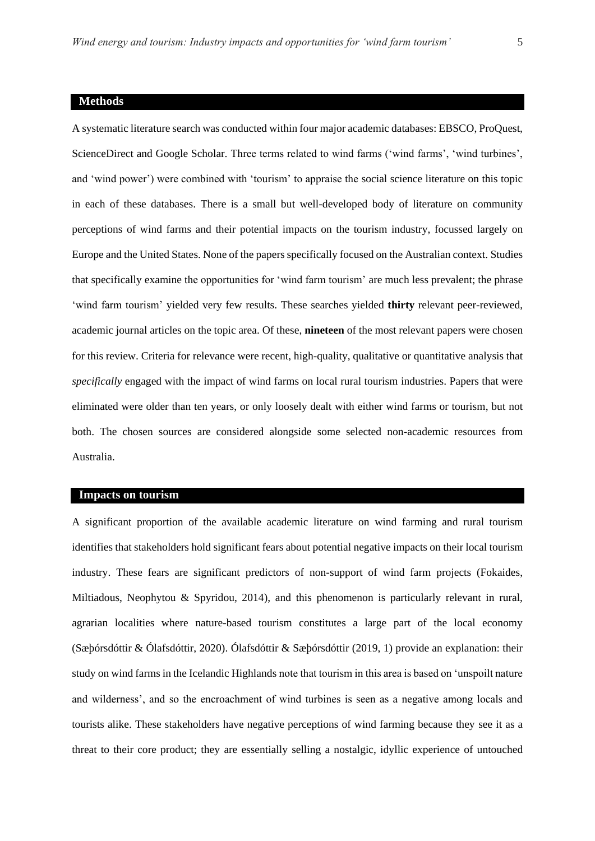#### <span id="page-4-0"></span>**Methods**

A systematic literature search was conducted within four major academic databases: EBSCO, ProQuest, ScienceDirect and Google Scholar. Three terms related to wind farms ('wind farms', 'wind turbines', and 'wind power') were combined with 'tourism' to appraise the social science literature on this topic in each of these databases. There is a small but well-developed body of literature on community perceptions of wind farms and their potential impacts on the tourism industry, focussed largely on Europe and the United States. None of the papers specifically focused on the Australian context. Studies that specifically examine the opportunities for 'wind farm tourism' are much less prevalent; the phrase 'wind farm tourism' yielded very few results. These searches yielded **thirty** relevant peer-reviewed, academic journal articles on the topic area. Of these, **nineteen** of the most relevant papers were chosen for this review. Criteria for relevance were recent, high-quality, qualitative or quantitative analysis that *specifically* engaged with the impact of wind farms on local rural tourism industries. Papers that were eliminated were older than ten years, or only loosely dealt with either wind farms or tourism, but not both. The chosen sources are considered alongside some selected non-academic resources from Australia.

#### <span id="page-4-1"></span>**Impacts on tourism**

A significant proportion of the available academic literature on wind farming and rural tourism identifies that stakeholders hold significant fears about potential negative impacts on their local tourism industry. These fears are significant predictors of non-support of wind farm projects (Fokaides, Miltiadous, Neophytou & Spyridou, 2014), and this phenomenon is particularly relevant in rural, agrarian localities where nature-based tourism constitutes a large part of the local economy (Sæþórsdóttir & Ólafsdóttir, 2020). Ólafsdóttir & Sæþórsdóttir (2019, 1) provide an explanation: their study on wind farms in the Icelandic Highlands note that tourism in this area is based on 'unspoilt nature and wilderness', and so the encroachment of wind turbines is seen as a negative among locals and tourists alike. These stakeholders have negative perceptions of wind farming because they see it as a threat to their core product; they are essentially selling a nostalgic, idyllic experience of untouched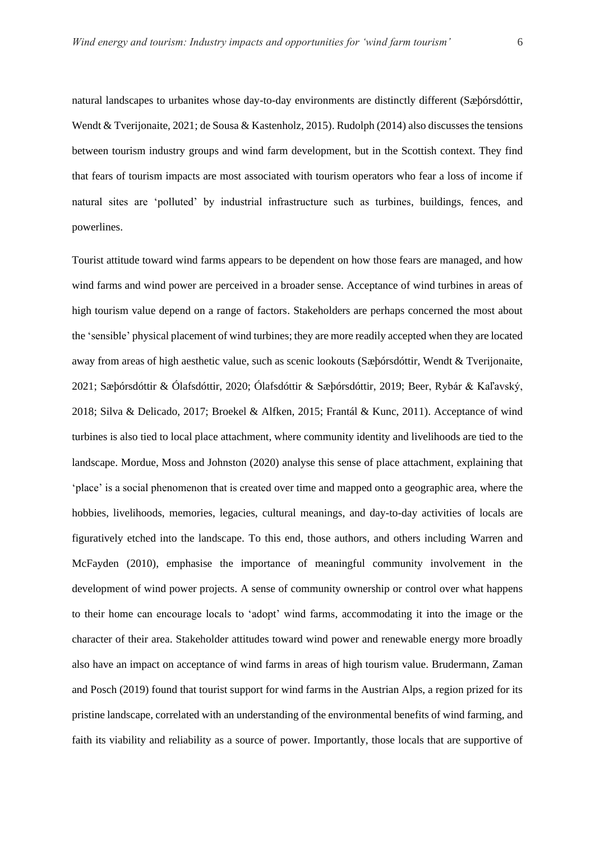natural landscapes to urbanites whose day-to-day environments are distinctly different (Sæþórsdóttir, Wendt & Tverijonaite, 2021; de Sousa & Kastenholz, 2015). Rudolph (2014) also discusses the tensions between tourism industry groups and wind farm development, but in the Scottish context. They find that fears of tourism impacts are most associated with tourism operators who fear a loss of income if natural sites are 'polluted' by industrial infrastructure such as turbines, buildings, fences, and powerlines.

Tourist attitude toward wind farms appears to be dependent on how those fears are managed, and how wind farms and wind power are perceived in a broader sense. Acceptance of wind turbines in areas of high tourism value depend on a range of factors. Stakeholders are perhaps concerned the most about the 'sensible' physical placement of wind turbines; they are more readily accepted when they are located away from areas of high aesthetic value, such as scenic lookouts (Sæþórsdóttir, Wendt & Tverijonaite, 2021; Sæþórsdóttir & Ólafsdóttir, 2020; Ólafsdóttir & Sæþórsdóttir, 2019; Beer, Rybár & Kaľavský, 2018; Silva & Delicado, 2017; Broekel & Alfken, 2015; Frantál & Kunc, 2011). Acceptance of wind turbines is also tied to local place attachment, where community identity and livelihoods are tied to the landscape. Mordue, Moss and Johnston (2020) analyse this sense of place attachment, explaining that 'place' is a social phenomenon that is created over time and mapped onto a geographic area, where the hobbies, livelihoods, memories, legacies, cultural meanings, and day-to-day activities of locals are figuratively etched into the landscape. To this end, those authors, and others including Warren and McFayden (2010), emphasise the importance of meaningful community involvement in the development of wind power projects. A sense of community ownership or control over what happens to their home can encourage locals to 'adopt' wind farms, accommodating it into the image or the character of their area. Stakeholder attitudes toward wind power and renewable energy more broadly also have an impact on acceptance of wind farms in areas of high tourism value. Brudermann, Zaman and Posch (2019) found that tourist support for wind farms in the Austrian Alps, a region prized for its pristine landscape, correlated with an understanding of the environmental benefits of wind farming, and faith its viability and reliability as a source of power. Importantly, those locals that are supportive of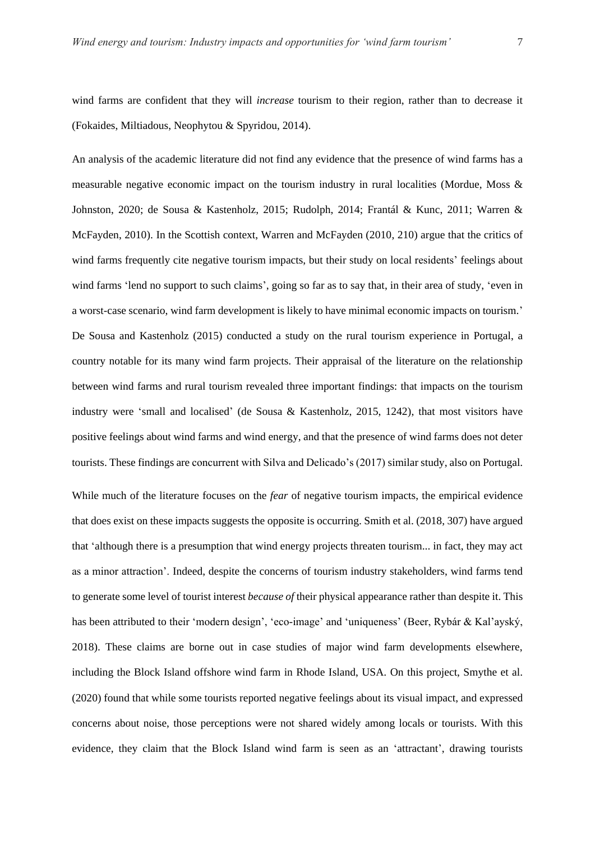wind farms are confident that they will *increase* tourism to their region, rather than to decrease it (Fokaides, Miltiadous, Neophytou & Spyridou, 2014).

An analysis of the academic literature did not find any evidence that the presence of wind farms has a measurable negative economic impact on the tourism industry in rural localities (Mordue, Moss  $\&$ Johnston, 2020; de Sousa & Kastenholz, 2015; Rudolph, 2014; Frantál & Kunc, 2011; Warren & McFayden, 2010). In the Scottish context, Warren and McFayden (2010, 210) argue that the critics of wind farms frequently cite negative tourism impacts, but their study on local residents' feelings about wind farms 'lend no support to such claims', going so far as to say that, in their area of study, 'even in a worst-case scenario, wind farm development is likely to have minimal economic impacts on tourism.' De Sousa and Kastenholz (2015) conducted a study on the rural tourism experience in Portugal, a country notable for its many wind farm projects. Their appraisal of the literature on the relationship between wind farms and rural tourism revealed three important findings: that impacts on the tourism industry were 'small and localised' (de Sousa & Kastenholz, 2015, 1242), that most visitors have positive feelings about wind farms and wind energy, and that the presence of wind farms does not deter tourists. These findings are concurrent with Silva and Delicado's (2017) similar study, also on Portugal.

While much of the literature focuses on the *fear* of negative tourism impacts, the empirical evidence that does exist on these impacts suggests the opposite is occurring. Smith et al. (2018, 307) have argued that 'although there is a presumption that wind energy projects threaten tourism... in fact, they may act as a minor attraction'. Indeed, despite the concerns of tourism industry stakeholders, wind farms tend to generate some level of tourist interest *because of* their physical appearance rather than despite it. This has been attributed to their 'modern design', 'eco-image' and 'uniqueness' (Beer, Rybár & Kal'ayský, 2018). These claims are borne out in case studies of major wind farm developments elsewhere, including the Block Island offshore wind farm in Rhode Island, USA. On this project, Smythe et al. (2020) found that while some tourists reported negative feelings about its visual impact, and expressed concerns about noise, those perceptions were not shared widely among locals or tourists. With this evidence, they claim that the Block Island wind farm is seen as an 'attractant', drawing tourists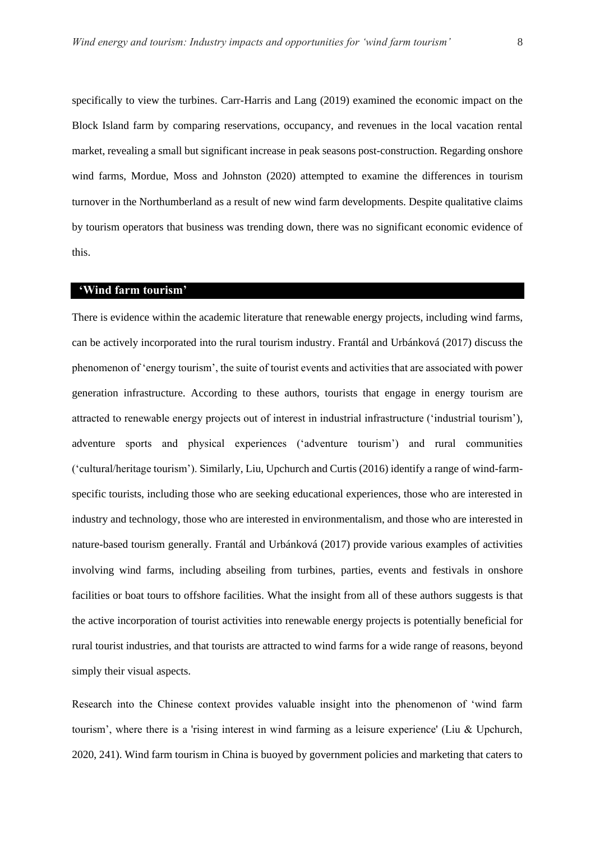specifically to view the turbines. Carr-Harris and Lang (2019) examined the economic impact on the Block Island farm by comparing reservations, occupancy, and revenues in the local vacation rental market, revealing a small but significant increase in peak seasons post-construction. Regarding onshore wind farms, Mordue, Moss and Johnston (2020) attempted to examine the differences in tourism turnover in the Northumberland as a result of new wind farm developments. Despite qualitative claims by tourism operators that business was trending down, there was no significant economic evidence of this.

## <span id="page-7-0"></span>**'Wind farm tourism'**

There is evidence within the academic literature that renewable energy projects, including wind farms, can be actively incorporated into the rural tourism industry. Frantál and Urbánková (2017) discuss the phenomenon of 'energy tourism', the suite of tourist events and activities that are associated with power generation infrastructure. According to these authors, tourists that engage in energy tourism are attracted to renewable energy projects out of interest in industrial infrastructure ('industrial tourism'), adventure sports and physical experiences ('adventure tourism') and rural communities ('cultural/heritage tourism'). Similarly, Liu, Upchurch and Curtis (2016) identify a range of wind-farmspecific tourists, including those who are seeking educational experiences, those who are interested in industry and technology, those who are interested in environmentalism, and those who are interested in nature-based tourism generally. Frantál and Urbánková (2017) provide various examples of activities involving wind farms, including abseiling from turbines, parties, events and festivals in onshore facilities or boat tours to offshore facilities. What the insight from all of these authors suggests is that the active incorporation of tourist activities into renewable energy projects is potentially beneficial for rural tourist industries, and that tourists are attracted to wind farms for a wide range of reasons, beyond simply their visual aspects.

Research into the Chinese context provides valuable insight into the phenomenon of 'wind farm tourism', where there is a 'rising interest in wind farming as a leisure experience' (Liu & Upchurch, 2020, 241). Wind farm tourism in China is buoyed by government policies and marketing that caters to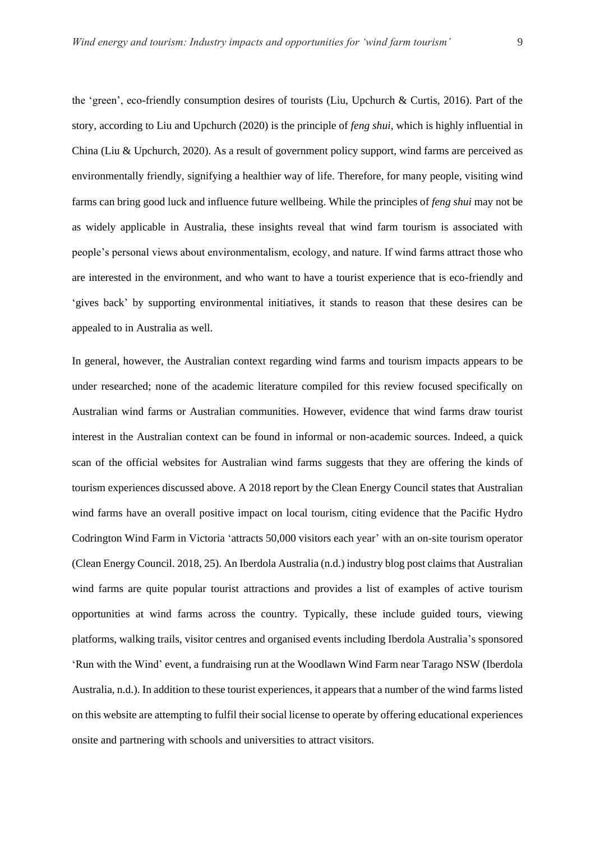the 'green', eco-friendly consumption desires of tourists (Liu, Upchurch & Curtis, 2016). Part of the story, according to Liu and Upchurch (2020) is the principle of *feng shui*, which is highly influential in China (Liu & Upchurch, 2020). As a result of government policy support, wind farms are perceived as environmentally friendly, signifying a healthier way of life. Therefore, for many people, visiting wind farms can bring good luck and influence future wellbeing. While the principles of *feng shui* may not be as widely applicable in Australia, these insights reveal that wind farm tourism is associated with people's personal views about environmentalism, ecology, and nature. If wind farms attract those who are interested in the environment, and who want to have a tourist experience that is eco-friendly and 'gives back' by supporting environmental initiatives, it stands to reason that these desires can be appealed to in Australia as well.

In general, however, the Australian context regarding wind farms and tourism impacts appears to be under researched; none of the academic literature compiled for this review focused specifically on Australian wind farms or Australian communities. However, evidence that wind farms draw tourist interest in the Australian context can be found in informal or non-academic sources. Indeed, a quick scan of the official websites for Australian wind farms suggests that they are offering the kinds of tourism experiences discussed above. A 2018 report by the Clean Energy Council states that Australian wind farms have an overall positive impact on local tourism, citing evidence that the Pacific Hydro Codrington Wind Farm in Victoria 'attracts 50,000 visitors each year' with an on-site tourism operator (Clean Energy Council. 2018, 25). An Iberdola Australia (n.d.) industry blog post claims that Australian wind farms are quite popular tourist attractions and provides a list of examples of active tourism opportunities at wind farms across the country. Typically, these include guided tours, viewing platforms, walking trails, visitor centres and organised events including Iberdola Australia's sponsored 'Run with the Wind' event, a fundraising run at the Woodlawn Wind Farm near Tarago NSW (Iberdola Australia, n.d.). In addition to these tourist experiences, it appears that a number of the wind farms listed on this website are attempting to fulfil their social license to operate by offering educational experiences onsite and partnering with schools and universities to attract visitors.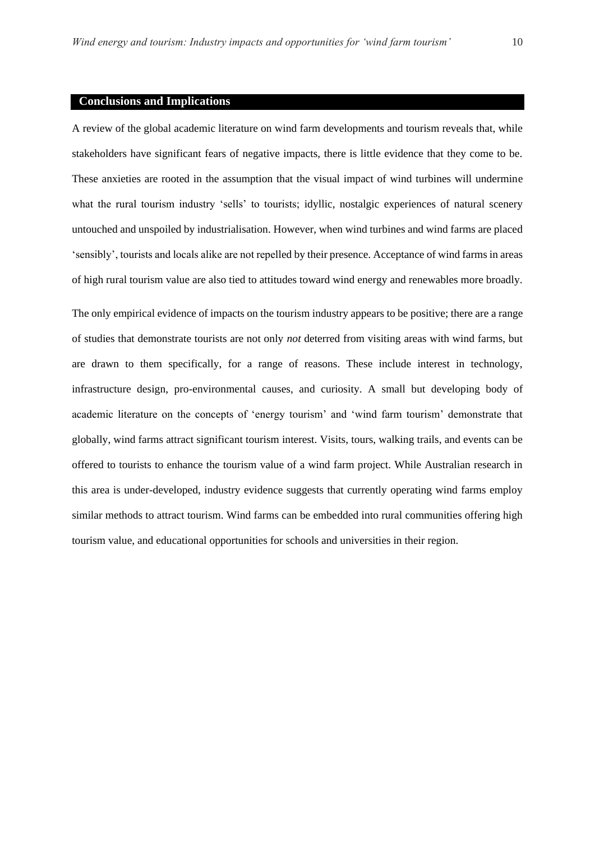#### <span id="page-9-0"></span>**Conclusions and Implications**

A review of the global academic literature on wind farm developments and tourism reveals that, while stakeholders have significant fears of negative impacts, there is little evidence that they come to be. These anxieties are rooted in the assumption that the visual impact of wind turbines will undermine what the rural tourism industry 'sells' to tourists; idyllic, nostalgic experiences of natural scenery untouched and unspoiled by industrialisation. However, when wind turbines and wind farms are placed 'sensibly', tourists and locals alike are not repelled by their presence. Acceptance of wind farms in areas of high rural tourism value are also tied to attitudes toward wind energy and renewables more broadly.

The only empirical evidence of impacts on the tourism industry appears to be positive; there are a range of studies that demonstrate tourists are not only *not* deterred from visiting areas with wind farms, but are drawn to them specifically, for a range of reasons. These include interest in technology, infrastructure design, pro-environmental causes, and curiosity. A small but developing body of academic literature on the concepts of 'energy tourism' and 'wind farm tourism' demonstrate that globally, wind farms attract significant tourism interest. Visits, tours, walking trails, and events can be offered to tourists to enhance the tourism value of a wind farm project. While Australian research in this area is under-developed, industry evidence suggests that currently operating wind farms employ similar methods to attract tourism. Wind farms can be embedded into rural communities offering high tourism value, and educational opportunities for schools and universities in their region.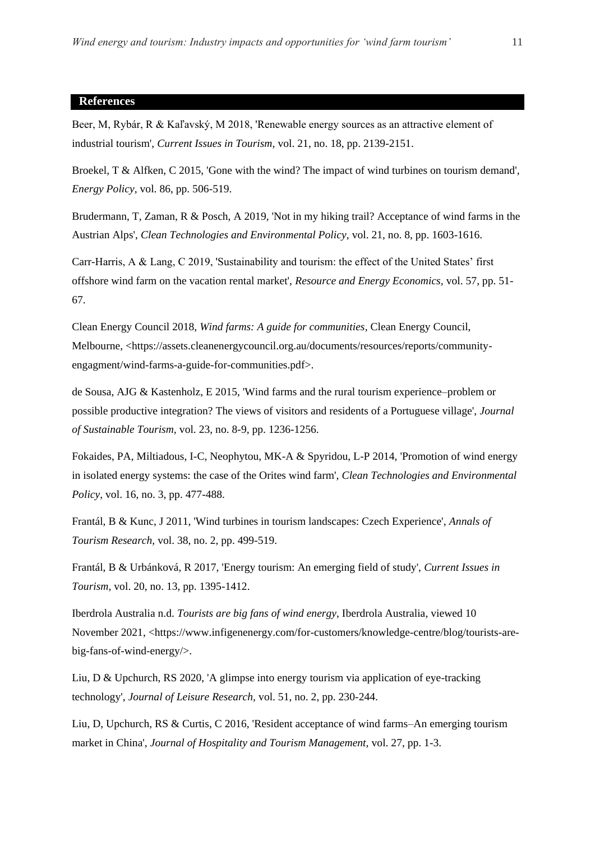#### <span id="page-10-0"></span>**References**

Beer, M, Rybár, R & Kaľavský, M 2018, 'Renewable energy sources as an attractive element of industrial tourism', *Current Issues in Tourism,* vol. 21, no. 18, pp. 2139-2151.

Broekel, T & Alfken, C 2015, 'Gone with the wind? The impact of wind turbines on tourism demand', *Energy Policy,* vol. 86, pp. 506-519.

Brudermann, T, Zaman, R & Posch, A 2019, 'Not in my hiking trail? Acceptance of wind farms in the Austrian Alps', *Clean Technologies and Environmental Policy,* vol. 21, no. 8, pp. 1603-1616.

Carr-Harris, A & Lang, C 2019, 'Sustainability and tourism: the effect of the United States' first offshore wind farm on the vacation rental market', *Resource and Energy Economics,* vol. 57, pp. 51- 67.

Clean Energy Council 2018, *Wind farms: A guide for communities*, Clean Energy Council, Melbourne, <https://assets.cleanenergycouncil.org.au/documents/resources/reports/communityengagment/wind-farms-a-guide-for-communities.pdf>.

de Sousa, AJG & Kastenholz, E 2015, 'Wind farms and the rural tourism experience–problem or possible productive integration? The views of visitors and residents of a Portuguese village', *Journal of Sustainable Tourism,* vol. 23, no. 8-9, pp. 1236-1256.

Fokaides, PA, Miltiadous, I-C, Neophytou, MK-A & Spyridou, L-P 2014, 'Promotion of wind energy in isolated energy systems: the case of the Orites wind farm', *Clean Technologies and Environmental Policy,* vol. 16, no. 3, pp. 477-488.

Frantál, B & Kunc, J 2011, 'Wind turbines in tourism landscapes: Czech Experience', *Annals of Tourism Research,* vol. 38, no. 2, pp. 499-519.

Frantál, B & Urbánková, R 2017, 'Energy tourism: An emerging field of study', *Current Issues in Tourism,* vol. 20, no. 13, pp. 1395-1412.

Iberdrola Australia n.d. *Tourists are big fans of wind energy*, Iberdrola Australia, viewed 10 November 2021, <https://www.infigenenergy.com/for-customers/knowledge-centre/blog/tourists-arebig-fans-of-wind-energy/>.

Liu, D & Upchurch, RS 2020, 'A glimpse into energy tourism via application of eye-tracking technology', *Journal of Leisure Research,* vol. 51, no. 2, pp. 230-244.

Liu, D, Upchurch, RS & Curtis, C 2016, 'Resident acceptance of wind farms–An emerging tourism market in China', *Journal of Hospitality and Tourism Management,* vol. 27, pp. 1-3.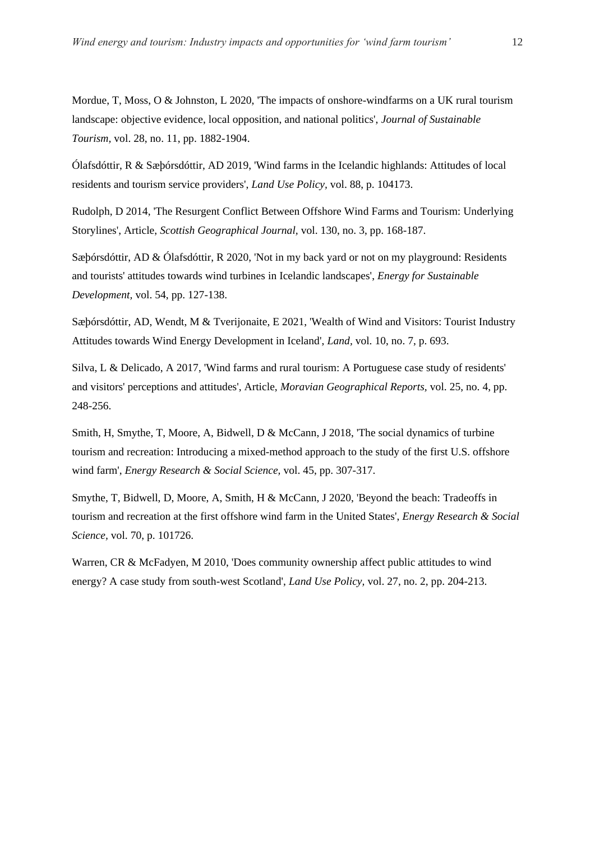Mordue, T, Moss, O & Johnston, L 2020, 'The impacts of onshore-windfarms on a UK rural tourism landscape: objective evidence, local opposition, and national politics', *Journal of Sustainable Tourism,* vol. 28, no. 11, pp. 1882-1904.

Ólafsdóttir, R & Sæþórsdóttir, AD 2019, 'Wind farms in the Icelandic highlands: Attitudes of local residents and tourism service providers', *Land Use Policy,* vol. 88, p. 104173.

Rudolph, D 2014, 'The Resurgent Conflict Between Offshore Wind Farms and Tourism: Underlying Storylines', Article, *Scottish Geographical Journal,* vol. 130, no. 3, pp. 168-187.

Sæþórsdóttir, AD & Ólafsdóttir, R 2020, 'Not in my back yard or not on my playground: Residents and tourists' attitudes towards wind turbines in Icelandic landscapes', *Energy for Sustainable Development,* vol. 54, pp. 127-138.

Sæþórsdóttir, AD, Wendt, M & Tverijonaite, E 2021, 'Wealth of Wind and Visitors: Tourist Industry Attitudes towards Wind Energy Development in Iceland', *Land,* vol. 10, no. 7, p. 693.

Silva, L & Delicado, A 2017, 'Wind farms and rural tourism: A Portuguese case study of residents' and visitors' perceptions and attitudes', Article, *Moravian Geographical Reports,* vol. 25, no. 4, pp. 248-256.

Smith, H, Smythe, T, Moore, A, Bidwell, D & McCann, J 2018, 'The social dynamics of turbine tourism and recreation: Introducing a mixed-method approach to the study of the first U.S. offshore wind farm', *Energy Research & Social Science,* vol. 45, pp. 307-317.

Smythe, T, Bidwell, D, Moore, A, Smith, H & McCann, J 2020, 'Beyond the beach: Tradeoffs in tourism and recreation at the first offshore wind farm in the United States', *Energy Research & Social Science,* vol. 70, p. 101726.

Warren, CR & McFadyen, M 2010, 'Does community ownership affect public attitudes to wind energy? A case study from south-west Scotland', *Land Use Policy,* vol. 27, no. 2, pp. 204-213.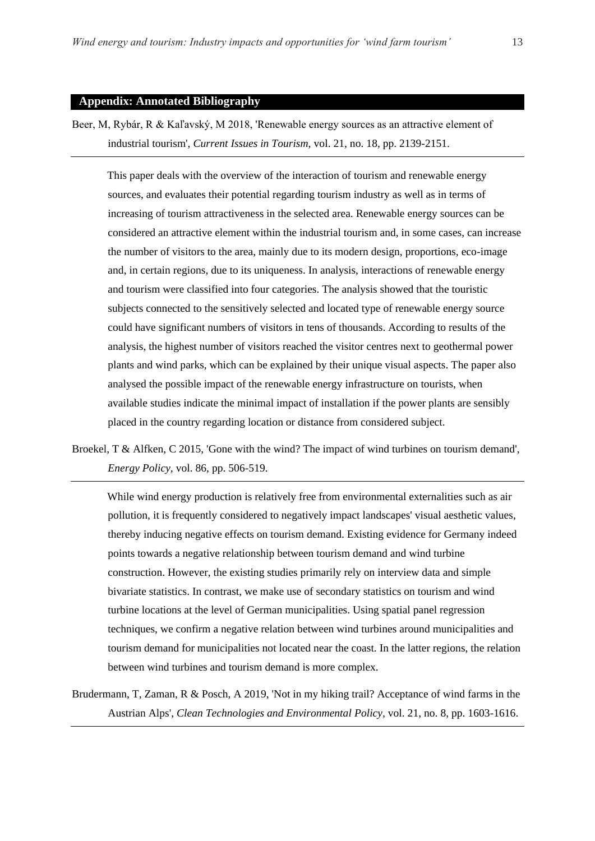#### <span id="page-12-0"></span>**Appendix: Annotated Bibliography**

Beer, M, Rybár, R & Kaľavský, M 2018, 'Renewable energy sources as an attractive element of industrial tourism', *Current Issues in Tourism,* vol. 21, no. 18, pp. 2139-2151.

This paper deals with the overview of the interaction of tourism and renewable energy sources, and evaluates their potential regarding tourism industry as well as in terms of increasing of tourism attractiveness in the selected area. Renewable energy sources can be considered an attractive element within the industrial tourism and, in some cases, can increase the number of visitors to the area, mainly due to its modern design, proportions, eco-image and, in certain regions, due to its uniqueness. In analysis, interactions of renewable energy and tourism were classified into four categories. The analysis showed that the touristic subjects connected to the sensitively selected and located type of renewable energy source could have significant numbers of visitors in tens of thousands. According to results of the analysis, the highest number of visitors reached the visitor centres next to geothermal power plants and wind parks, which can be explained by their unique visual aspects. The paper also analysed the possible impact of the renewable energy infrastructure on tourists, when available studies indicate the minimal impact of installation if the power plants are sensibly placed in the country regarding location or distance from considered subject.

Broekel, T & Alfken, C 2015, 'Gone with the wind? The impact of wind turbines on tourism demand', *Energy Policy,* vol. 86, pp. 506-519.

While wind energy production is relatively free from environmental externalities such as air pollution, it is frequently considered to negatively impact landscapes' visual aesthetic values, thereby inducing negative effects on tourism demand. Existing evidence for Germany indeed points towards a negative relationship between tourism demand and wind turbine construction. However, the existing studies primarily rely on interview data and simple bivariate statistics. In contrast, we make use of secondary statistics on tourism and wind turbine locations at the level of German municipalities. Using spatial panel regression techniques, we confirm a negative relation between wind turbines around municipalities and tourism demand for municipalities not located near the coast. In the latter regions, the relation between wind turbines and tourism demand is more complex.

Brudermann, T, Zaman, R & Posch, A 2019, 'Not in my hiking trail? Acceptance of wind farms in the Austrian Alps', *Clean Technologies and Environmental Policy,* vol. 21, no. 8, pp. 1603-1616.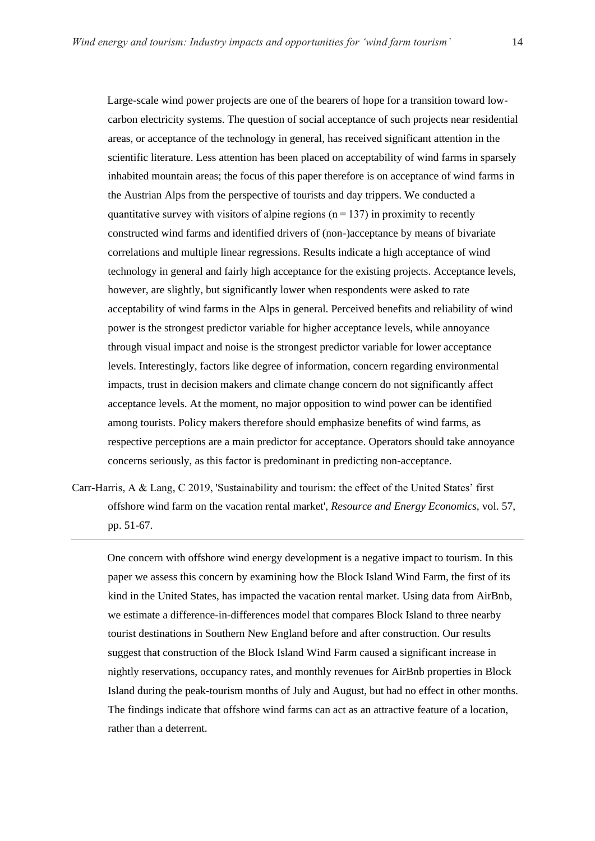Large-scale wind power projects are one of the bearers of hope for a transition toward lowcarbon electricity systems. The question of social acceptance of such projects near residential areas, or acceptance of the technology in general, has received significant attention in the scientific literature. Less attention has been placed on acceptability of wind farms in sparsely inhabited mountain areas; the focus of this paper therefore is on acceptance of wind farms in the Austrian Alps from the perspective of tourists and day trippers. We conducted a quantitative survey with visitors of alpine regions ( $n = 137$ ) in proximity to recently constructed wind farms and identified drivers of (non-)acceptance by means of bivariate correlations and multiple linear regressions. Results indicate a high acceptance of wind technology in general and fairly high acceptance for the existing projects. Acceptance levels, however, are slightly, but significantly lower when respondents were asked to rate acceptability of wind farms in the Alps in general. Perceived benefits and reliability of wind power is the strongest predictor variable for higher acceptance levels, while annoyance through visual impact and noise is the strongest predictor variable for lower acceptance levels. Interestingly, factors like degree of information, concern regarding environmental impacts, trust in decision makers and climate change concern do not significantly affect acceptance levels. At the moment, no major opposition to wind power can be identified among tourists. Policy makers therefore should emphasize benefits of wind farms, as respective perceptions are a main predictor for acceptance. Operators should take annoyance concerns seriously, as this factor is predominant in predicting non-acceptance.

Carr-Harris, A & Lang, C 2019, 'Sustainability and tourism: the effect of the United States' first offshore wind farm on the vacation rental market', *Resource and Energy Economics,* vol. 57, pp. 51-67.

One concern with offshore wind energy development is a negative impact to tourism. In this paper we assess this concern by examining how the Block Island Wind Farm, the first of its kind in the United States, has impacted the vacation rental market. Using data from AirBnb, we estimate a difference-in-differences model that compares Block Island to three nearby tourist destinations in Southern New England before and after construction. Our results suggest that construction of the Block Island Wind Farm caused a significant increase in nightly reservations, occupancy rates, and monthly revenues for AirBnb properties in Block Island during the peak-tourism months of July and August, but had no effect in other months. The findings indicate that offshore wind farms can act as an attractive feature of a location, rather than a deterrent.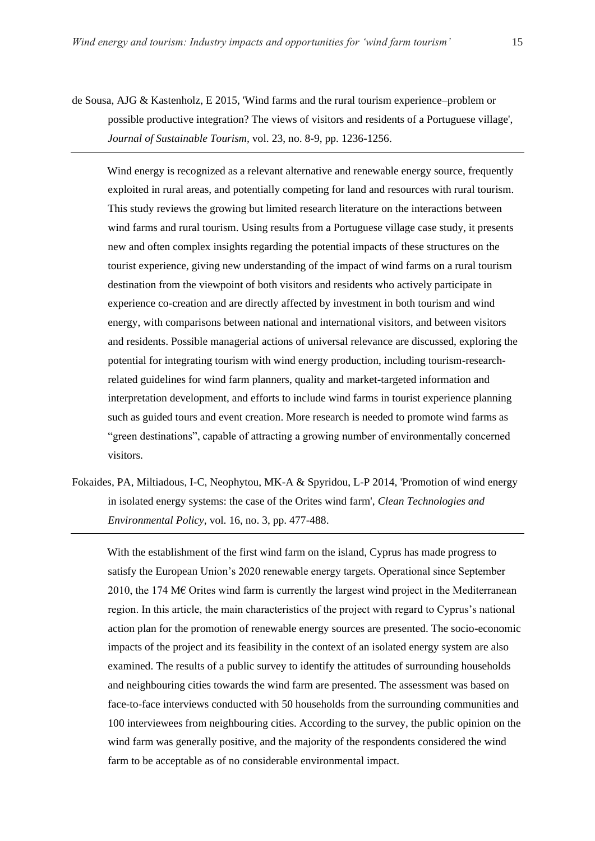de Sousa, AJG & Kastenholz, E 2015, 'Wind farms and the rural tourism experience–problem or possible productive integration? The views of visitors and residents of a Portuguese village', *Journal of Sustainable Tourism,* vol. 23, no. 8-9, pp. 1236-1256.

Wind energy is recognized as a relevant alternative and renewable energy source, frequently exploited in rural areas, and potentially competing for land and resources with rural tourism. This study reviews the growing but limited research literature on the interactions between wind farms and rural tourism. Using results from a Portuguese village case study, it presents new and often complex insights regarding the potential impacts of these structures on the tourist experience, giving new understanding of the impact of wind farms on a rural tourism destination from the viewpoint of both visitors and residents who actively participate in experience co-creation and are directly affected by investment in both tourism and wind energy, with comparisons between national and international visitors, and between visitors and residents. Possible managerial actions of universal relevance are discussed, exploring the potential for integrating tourism with wind energy production, including tourism-researchrelated guidelines for wind farm planners, quality and market-targeted information and interpretation development, and efforts to include wind farms in tourist experience planning such as guided tours and event creation. More research is needed to promote wind farms as "green destinations", capable of attracting a growing number of environmentally concerned visitors.

Fokaides, PA, Miltiadous, I-C, Neophytou, MK-A & Spyridou, L-P 2014, 'Promotion of wind energy in isolated energy systems: the case of the Orites wind farm', *Clean Technologies and Environmental Policy,* vol. 16, no. 3, pp. 477-488.

With the establishment of the first wind farm on the island, Cyprus has made progress to satisfy the European Union's 2020 renewable energy targets. Operational since September 2010, the 174 M $\epsilon$  Orites wind farm is currently the largest wind project in the Mediterranean region. In this article, the main characteristics of the project with regard to Cyprus's national action plan for the promotion of renewable energy sources are presented. The socio-economic impacts of the project and its feasibility in the context of an isolated energy system are also examined. The results of a public survey to identify the attitudes of surrounding households and neighbouring cities towards the wind farm are presented. The assessment was based on face-to-face interviews conducted with 50 households from the surrounding communities and 100 interviewees from neighbouring cities. According to the survey, the public opinion on the wind farm was generally positive, and the majority of the respondents considered the wind farm to be acceptable as of no considerable environmental impact.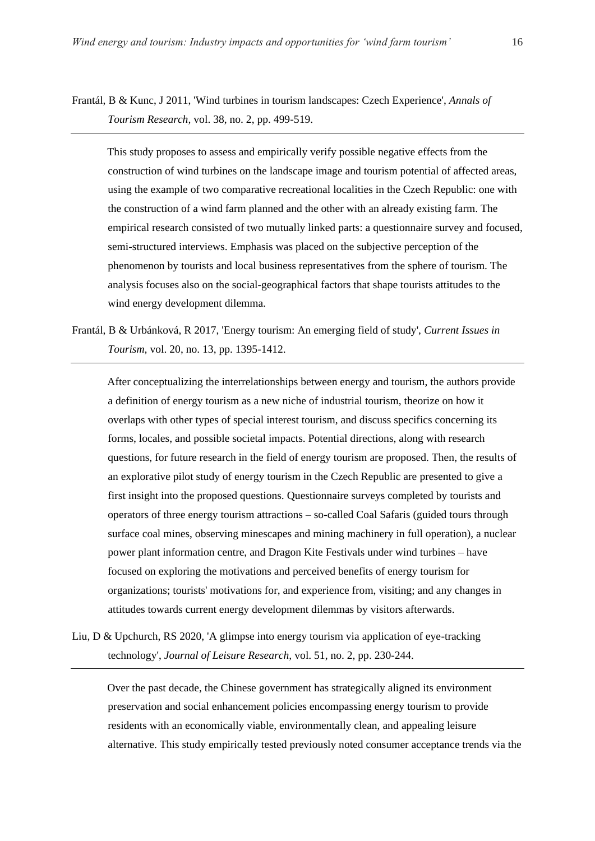Frantál, B & Kunc, J 2011, 'Wind turbines in tourism landscapes: Czech Experience', *Annals of Tourism Research,* vol. 38, no. 2, pp. 499-519.

This study proposes to assess and empirically verify possible negative effects from the construction of wind turbines on the landscape image and tourism potential of affected areas, using the example of two comparative recreational localities in the Czech Republic: one with the construction of a wind farm planned and the other with an already existing farm. The empirical research consisted of two mutually linked parts: a questionnaire survey and focused, semi-structured interviews. Emphasis was placed on the subjective perception of the phenomenon by tourists and local business representatives from the sphere of tourism. The analysis focuses also on the social-geographical factors that shape tourists attitudes to the wind energy development dilemma.

Frantál, B & Urbánková, R 2017, 'Energy tourism: An emerging field of study', *Current Issues in Tourism,* vol. 20, no. 13, pp. 1395-1412.

After conceptualizing the interrelationships between energy and tourism, the authors provide a definition of energy tourism as a new niche of industrial tourism, theorize on how it overlaps with other types of special interest tourism, and discuss specifics concerning its forms, locales, and possible societal impacts. Potential directions, along with research questions, for future research in the field of energy tourism are proposed. Then, the results of an explorative pilot study of energy tourism in the Czech Republic are presented to give a first insight into the proposed questions. Questionnaire surveys completed by tourists and operators of three energy tourism attractions – so-called Coal Safaris (guided tours through surface coal mines, observing minescapes and mining machinery in full operation), a nuclear power plant information centre, and Dragon Kite Festivals under wind turbines – have focused on exploring the motivations and perceived benefits of energy tourism for organizations; tourists' motivations for, and experience from, visiting; and any changes in attitudes towards current energy development dilemmas by visitors afterwards.

Liu, D & Upchurch, RS 2020, 'A glimpse into energy tourism via application of eye-tracking technology', *Journal of Leisure Research,* vol. 51, no. 2, pp. 230-244.

Over the past decade, the Chinese government has strategically aligned its environment preservation and social enhancement policies encompassing energy tourism to provide residents with an economically viable, environmentally clean, and appealing leisure alternative. This study empirically tested previously noted consumer acceptance trends via the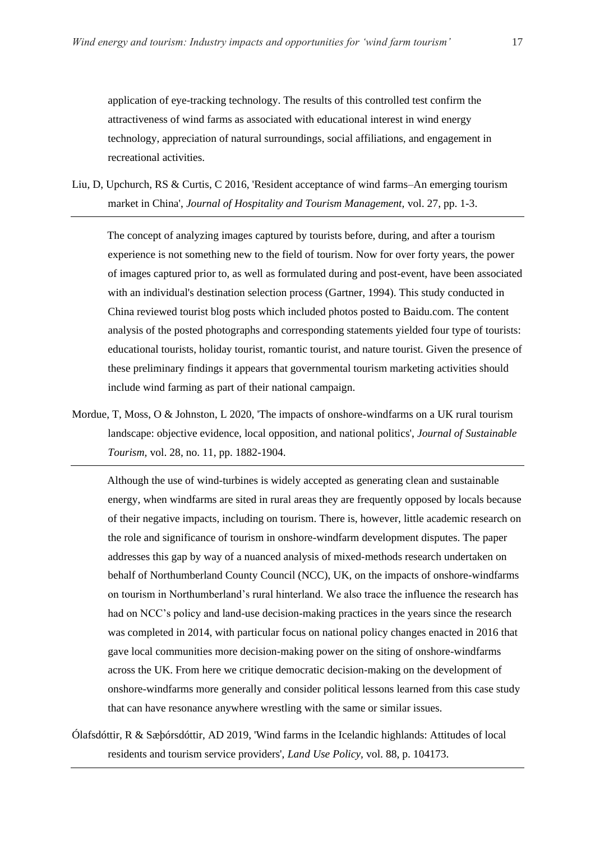application of eye-tracking technology. The results of this controlled test confirm the attractiveness of wind farms as associated with educational interest in wind energy technology, appreciation of natural surroundings, social affiliations, and engagement in recreational activities.

Liu, D, Upchurch, RS & Curtis, C 2016, 'Resident acceptance of wind farms–An emerging tourism market in China', *Journal of Hospitality and Tourism Management,* vol. 27, pp. 1-3.

The concept of analyzing images captured by tourists before, during, and after a tourism experience is not something new to the field of tourism. Now for over forty years, the power of images captured prior to, as well as formulated during and post-event, have been associated with an individual's destination selection process (Gartner, 1994). This study conducted in China reviewed tourist blog posts which included photos posted to Baidu.com. The content analysis of the posted photographs and corresponding statements yielded four type of tourists: educational tourists, holiday tourist, romantic tourist, and nature tourist. Given the presence of these preliminary findings it appears that governmental tourism marketing activities should include wind farming as part of their national campaign.

Mordue, T, Moss, O & Johnston, L 2020, 'The impacts of onshore-windfarms on a UK rural tourism landscape: objective evidence, local opposition, and national politics', *Journal of Sustainable Tourism,* vol. 28, no. 11, pp. 1882-1904.

Although the use of wind-turbines is widely accepted as generating clean and sustainable energy, when windfarms are sited in rural areas they are frequently opposed by locals because of their negative impacts, including on tourism. There is, however, little academic research on the role and significance of tourism in onshore-windfarm development disputes. The paper addresses this gap by way of a nuanced analysis of mixed-methods research undertaken on behalf of Northumberland County Council (NCC), UK, on the impacts of onshore-windfarms on tourism in Northumberland's rural hinterland. We also trace the influence the research has had on NCC's policy and land-use decision-making practices in the years since the research was completed in 2014, with particular focus on national policy changes enacted in 2016 that gave local communities more decision-making power on the siting of onshore-windfarms across the UK. From here we critique democratic decision-making on the development of onshore-windfarms more generally and consider political lessons learned from this case study that can have resonance anywhere wrestling with the same or similar issues.

Ólafsdóttir, R & Sæþórsdóttir, AD 2019, 'Wind farms in the Icelandic highlands: Attitudes of local residents and tourism service providers', *Land Use Policy,* vol. 88, p. 104173.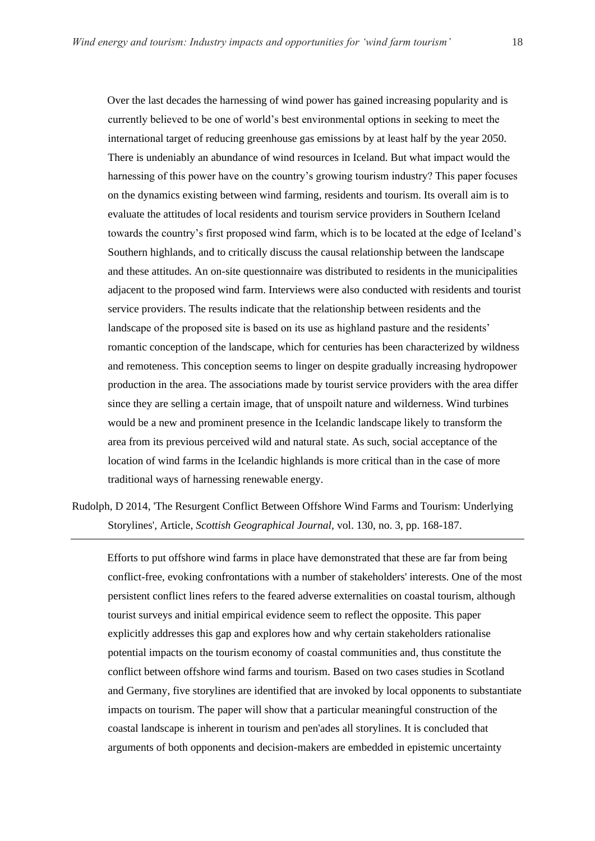Over the last decades the harnessing of wind power has gained increasing popularity and is currently believed to be one of world's best environmental options in seeking to meet the international target of reducing greenhouse gas emissions by at least half by the year 2050. There is undeniably an abundance of wind resources in Iceland. But what impact would the harnessing of this power have on the country's growing tourism industry? This paper focuses on the dynamics existing between wind farming, residents and tourism. Its overall aim is to evaluate the attitudes of local residents and tourism service providers in Southern Iceland towards the country's first proposed wind farm, which is to be located at the edge of Iceland's Southern highlands, and to critically discuss the causal relationship between the landscape and these attitudes. An on-site questionnaire was distributed to residents in the municipalities adjacent to the proposed wind farm. Interviews were also conducted with residents and tourist service providers. The results indicate that the relationship between residents and the landscape of the proposed site is based on its use as highland pasture and the residents' romantic conception of the landscape, which for centuries has been characterized by wildness and remoteness. This conception seems to linger on despite gradually increasing hydropower production in the area. The associations made by tourist service providers with the area differ since they are selling a certain image, that of unspoilt nature and wilderness. Wind turbines would be a new and prominent presence in the Icelandic landscape likely to transform the area from its previous perceived wild and natural state. As such, social acceptance of the location of wind farms in the Icelandic highlands is more critical than in the case of more traditional ways of harnessing renewable energy.

Rudolph, D 2014, 'The Resurgent Conflict Between Offshore Wind Farms and Tourism: Underlying Storylines', Article, *Scottish Geographical Journal,* vol. 130, no. 3, pp. 168-187.

Efforts to put offshore wind farms in place have demonstrated that these are far from being conflict-free, evoking confrontations with a number of stakeholders' interests. One of the most persistent conflict lines refers to the feared adverse externalities on coastal tourism, although tourist surveys and initial empirical evidence seem to reflect the opposite. This paper explicitly addresses this gap and explores how and why certain stakeholders rationalise potential impacts on the tourism economy of coastal communities and, thus constitute the conflict between offshore wind farms and tourism. Based on two cases studies in Scotland and Germany, five storylines are identified that are invoked by local opponents to substantiate impacts on tourism. The paper will show that a particular meaningful construction of the coastal landscape is inherent in tourism and pen'ades all storylines. It is concluded that arguments of both opponents and decision-makers are embedded in epistemic uncertainty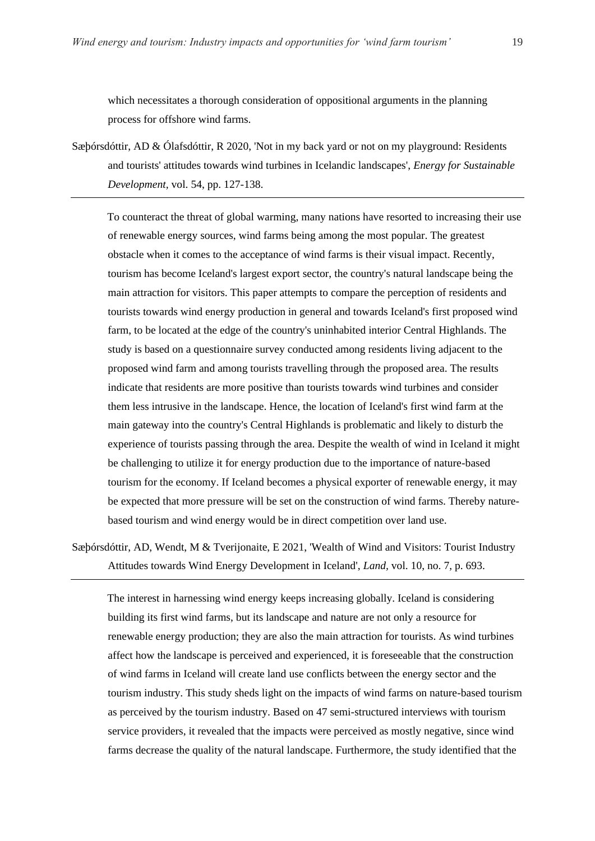which necessitates a thorough consideration of oppositional arguments in the planning process for offshore wind farms.

Sæþórsdóttir, AD & Ólafsdóttir, R 2020, 'Not in my back yard or not on my playground: Residents and tourists' attitudes towards wind turbines in Icelandic landscapes', *Energy for Sustainable Development,* vol. 54, pp. 127-138.

To counteract the threat of global warming, many nations have resorted to increasing their use of renewable energy sources, wind farms being among the most popular. The greatest obstacle when it comes to the acceptance of wind farms is their visual impact. Recently, tourism has become Iceland's largest export sector, the country's natural landscape being the main attraction for visitors. This paper attempts to compare the perception of residents and tourists towards wind energy production in general and towards Iceland's first proposed wind farm, to be located at the edge of the country's uninhabited interior Central Highlands. The study is based on a questionnaire survey conducted among residents living adjacent to the proposed wind farm and among tourists travelling through the proposed area. The results indicate that residents are more positive than tourists towards wind turbines and consider them less intrusive in the landscape. Hence, the location of Iceland's first wind farm at the main gateway into the country's Central Highlands is problematic and likely to disturb the experience of tourists passing through the area. Despite the wealth of wind in Iceland it might be challenging to utilize it for energy production due to the importance of nature-based tourism for the economy. If Iceland becomes a physical exporter of renewable energy, it may be expected that more pressure will be set on the construction of wind farms. Thereby naturebased tourism and wind energy would be in direct competition over land use.

Sæþórsdóttir, AD, Wendt, M & Tverijonaite, E 2021, 'Wealth of Wind and Visitors: Tourist Industry Attitudes towards Wind Energy Development in Iceland', *Land,* vol. 10, no. 7, p. 693.

The interest in harnessing wind energy keeps increasing globally. Iceland is considering building its first wind farms, but its landscape and nature are not only a resource for renewable energy production; they are also the main attraction for tourists. As wind turbines affect how the landscape is perceived and experienced, it is foreseeable that the construction of wind farms in Iceland will create land use conflicts between the energy sector and the tourism industry. This study sheds light on the impacts of wind farms on nature-based tourism as perceived by the tourism industry. Based on 47 semi-structured interviews with tourism service providers, it revealed that the impacts were perceived as mostly negative, since wind farms decrease the quality of the natural landscape. Furthermore, the study identified that the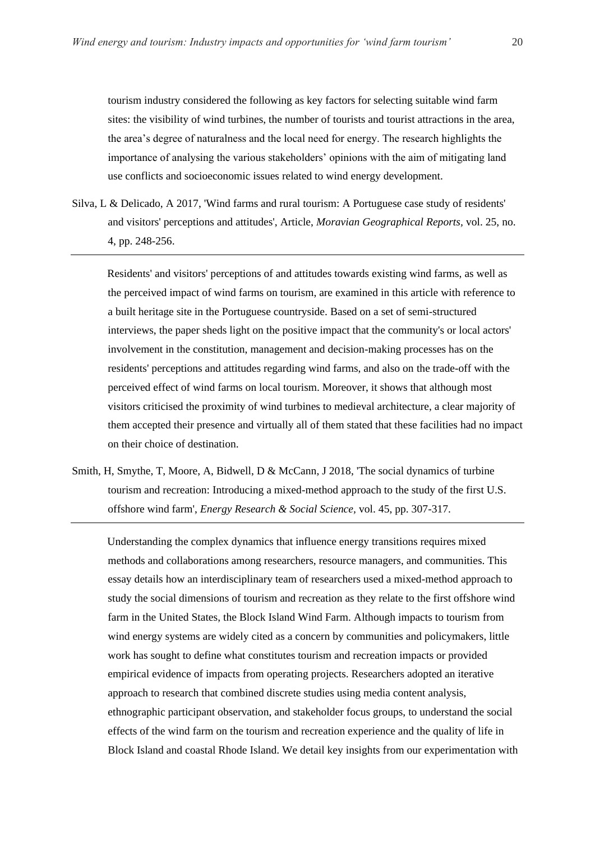tourism industry considered the following as key factors for selecting suitable wind farm sites: the visibility of wind turbines, the number of tourists and tourist attractions in the area, the area's degree of naturalness and the local need for energy. The research highlights the importance of analysing the various stakeholders' opinions with the aim of mitigating land use conflicts and socioeconomic issues related to wind energy development.

Silva, L & Delicado, A 2017, 'Wind farms and rural tourism: A Portuguese case study of residents' and visitors' perceptions and attitudes', Article, *Moravian Geographical Reports,* vol. 25, no. 4, pp. 248-256.

Residents' and visitors' perceptions of and attitudes towards existing wind farms, as well as the perceived impact of wind farms on tourism, are examined in this article with reference to a built heritage site in the Portuguese countryside. Based on a set of semi-structured interviews, the paper sheds light on the positive impact that the community's or local actors' involvement in the constitution, management and decision-making processes has on the residents' perceptions and attitudes regarding wind farms, and also on the trade-off with the perceived effect of wind farms on local tourism. Moreover, it shows that although most visitors criticised the proximity of wind turbines to medieval architecture, a clear majority of them accepted their presence and virtually all of them stated that these facilities had no impact on their choice of destination.

Smith, H, Smythe, T, Moore, A, Bidwell, D & McCann, J 2018, 'The social dynamics of turbine tourism and recreation: Introducing a mixed-method approach to the study of the first U.S. offshore wind farm', *Energy Research & Social Science,* vol. 45, pp. 307-317.

Understanding the complex dynamics that influence energy transitions requires mixed methods and collaborations among researchers, resource managers, and communities. This essay details how an interdisciplinary team of researchers used a mixed-method approach to study the social dimensions of tourism and recreation as they relate to the first offshore wind farm in the United States, the Block Island Wind Farm. Although impacts to tourism from wind energy systems are widely cited as a concern by communities and policymakers, little work has sought to define what constitutes tourism and recreation impacts or provided empirical evidence of impacts from operating projects. Researchers adopted an iterative approach to research that combined discrete studies using media content analysis, ethnographic participant observation, and stakeholder focus groups, to understand the social effects of the wind farm on the tourism and recreation experience and the quality of life in Block Island and coastal Rhode Island. We detail key insights from our experimentation with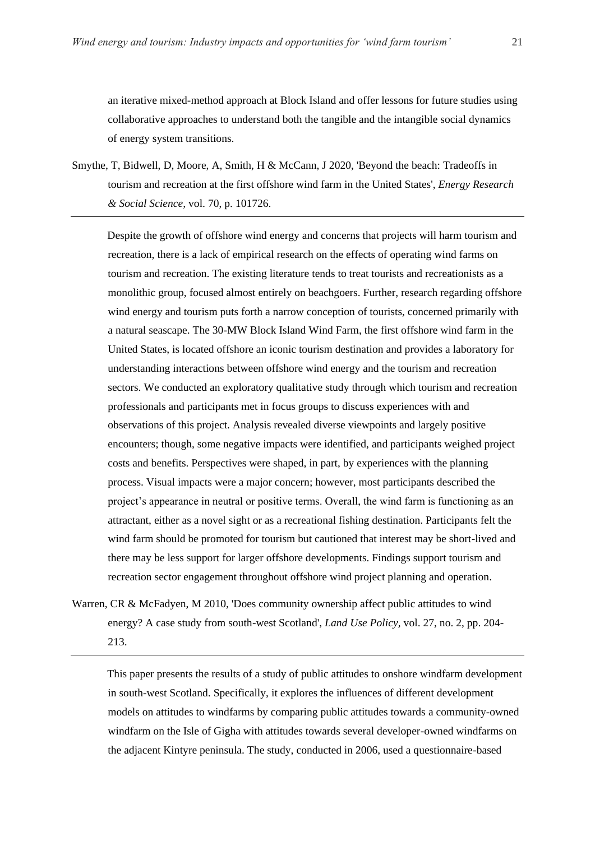an iterative mixed-method approach at Block Island and offer lessons for future studies using collaborative approaches to understand both the tangible and the intangible social dynamics of energy system transitions.

Smythe, T, Bidwell, D, Moore, A, Smith, H & McCann, J 2020, 'Beyond the beach: Tradeoffs in tourism and recreation at the first offshore wind farm in the United States', *Energy Research & Social Science,* vol. 70, p. 101726.

Despite the growth of offshore wind energy and concerns that projects will harm tourism and recreation, there is a lack of empirical research on the effects of operating wind farms on tourism and recreation. The existing literature tends to treat tourists and recreationists as a monolithic group, focused almost entirely on beachgoers. Further, research regarding offshore wind energy and tourism puts forth a narrow conception of tourists, concerned primarily with a natural seascape. The 30-MW Block Island Wind Farm, the first offshore wind farm in the United States, is located offshore an iconic tourism destination and provides a laboratory for understanding interactions between offshore wind energy and the tourism and recreation sectors. We conducted an exploratory qualitative study through which tourism and recreation professionals and participants met in focus groups to discuss experiences with and observations of this project. Analysis revealed diverse viewpoints and largely positive encounters; though, some negative impacts were identified, and participants weighed project costs and benefits. Perspectives were shaped, in part, by experiences with the planning process. Visual impacts were a major concern; however, most participants described the project's appearance in neutral or positive terms. Overall, the wind farm is functioning as an attractant, either as a novel sight or as a recreational fishing destination. Participants felt the wind farm should be promoted for tourism but cautioned that interest may be short-lived and there may be less support for larger offshore developments. Findings support tourism and recreation sector engagement throughout offshore wind project planning and operation.

Warren, CR & McFadyen, M 2010, 'Does community ownership affect public attitudes to wind energy? A case study from south-west Scotland', *Land Use Policy,* vol. 27, no. 2, pp. 204- 213.

This paper presents the results of a study of public attitudes to onshore windfarm development in south-west Scotland. Specifically, it explores the influences of different development models on attitudes to windfarms by comparing public attitudes towards a community-owned windfarm on the Isle of Gigha with attitudes towards several developer-owned windfarms on the adjacent Kintyre peninsula. The study, conducted in 2006, used a questionnaire-based